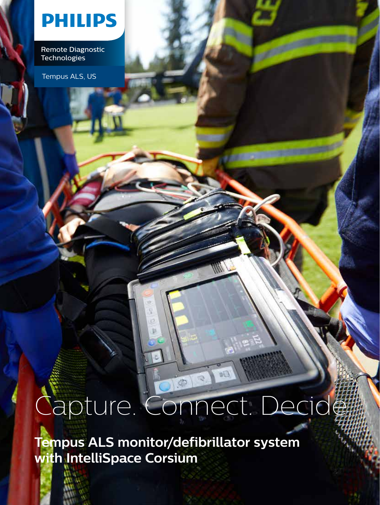### **PHILIPS**

Remote Diagnostic **Technologies** 

Tempus ALS, US

# Capture. Connect. Decide.

**Tempus ALS monitor/defibrillator system with IntelliSpace Corsium**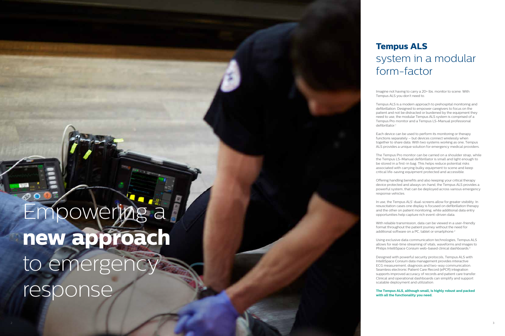### **Tempus ALS** sys tem in a modular form-factor

Imagine not having to carry a 20+ lbs. monitor to scene. With T empus ALS you don't need t o.

T empus ALS is a modern app roach to prehospital mo nitoring and defibrillation. Designed to empower caregivers to fo cus on the patient and not be distracted or burdened by the equipment they need to use, the modular Tempus ALS system is comprised of a Tempus Pro monitor and a Tempus LS-Manual professional d efibrillator. 1

Offering handling benefits and also keeping your critical therapy device protected and always on-hand, the Tempus ALS provides a powerful system, that can b e deployed across variou s emergency response vehicles.

E ach device can be used to perform its monitoring or therapy functions separately - but devices connect wirelessly when together to share data. With two systems working as one, Tempus ALS provides a u nique solution for emergency medical providers.

With reliable transmission, data can be viewed in a user-friendly format throughout the patient journey without the need for additional software on a PC, tablet or smartphone.<sup>2</sup>

The Tempus Pro monitor can be carried on a shoulder strap, while the Tempus LS-Manual defibrillator is small and light enough to be stored in a first-in bag. This helps reduce potential risks associated with carrying bulky equipment to scene and keep critical life-saving equipment protected and accessible.

# Empowering a **new approach** to emergency response

In use, the Tempus ALS' dual-screens allow for gr e ater visibility. In resuscitation cases one display is focused on defibrill ation therapy and the other on patient monitoring, while additional data entry opportunities h elp capture rich e v ent-driven data.

Using exclusive data communication technologies, Tempus ALS a l l ows for real-time streamin g of vitals, waveforms and images to Philips IntelliSpace Corsium web-based clinical dashboards. 3

Designed with pow erful security pr o IntelliSpace Corsium data management provides interactive ECG measurement, d iagnosis and t w o-way communica tion. Se amless electronic Patient Care Record (ePCR) integr ation su pports improved accuracy of records and patient c are transfer. C linical a n d operational dashboards can simplify an d s upport scalable deployment and utiliza tion.

**The Tempus ALS, although small, is highly robust and packed with all the functionality you need.**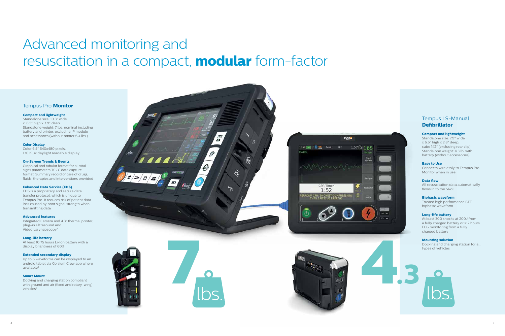## Advanced monitoring and resuscitation in a compact, **modular** form-factor

#### Tempus Pro **Monitor**

#### **Compact and lightweight**

Standalone size: 10.3" wide x 8.5" high x 3.9" deep Standalone weight: 7 lbs. nominal including battery and printer, excluding IP module and accessories (without printer 6.4 lbs.)

#### **Color Display**

Color 6.5" 640x480 pixels, 130 Klux daylight readable display

#### **On-Screen Trends & Events**

Graphical and tabular format for all vital signs parameters TCCC data capture format. Summary record of care of drugs, fluids, therapies and interventions provided

Docking and charging station compliant with ground and air (fixed and rotary wing) vehicles<sup>8</sup>

#### **Enhanced Data Service (EDS)**

EDS is a proprietary and secure data transfer protocol, which is unique to Tempus Pro. It reduces risk of patient data loss caused by poor signal strength when transmitting data

#### **Advanced features**

Integrated Camera and 4.3" thermal printer, plug-in Ultrasound and Video Laryngoscopy<sup>8</sup>

### **Long-life battery**

At least 10.75 hours Li-Ion battery with a display brightness of 60%

#### **Extended secondary display**

Up to 6 waveforms can be displayed to an android tablet via Corsium Crew app where available 8

#### **Smart Mount**

#### Tempus LS-Manual **Defibrillator**

#### **Compact and lightweight**

Standalone size: 7.9" wide x 6.5" high x 2.8" deep, cube 142" (excluding rear clip) Standalone weight: 4.3 lb. with battery (without accessories)

#### **Easy to Use**

Connects wirelessly to Tempus Pro Monitor when in use

#### **Data flow**

All resuscitation data automatically flows in to the SRoC

#### **Biphasic waveform**

Trusted high performance BTE biphasic waveform

#### **Long-life battery**

At least 300 shocks at 200J from a fully charged battery or >12 hours ECG monitoring from a fully charged battery

#### **Mounting solution**

Docking and charging station for all types of vehicles



lbs.



**TEMPUS IS** 

1657 BM | 0 BS Adult AED 1:57 3 165

CPR Timer  $1:52$ RM CPR: 30 CHEST COMPRESSIONS

PADS



lbs.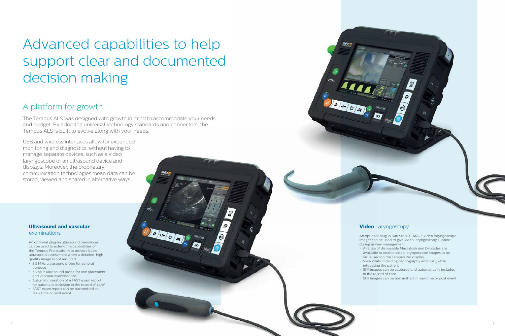#### **Ultrasound and vascular** examinations

An optional plug-in ultrasound transducer can be used to extend the capabilities of the Tempus Pro platform to provide basic ultrasound assessment when a detailed, high quality image is not required.

- 3.5 MHz ultrasound probe for general purpose
- 7.5 MHz ultrasound probe for line placement and vascular examinations
- Automatic creation of a FAST exam report for automatic inclusion in the record of care<sup>6</sup>
- FAST exam report can be transmitted in real- time or post event

 $\begin{array}{|c|c|c|}\hline \mathbf{a} & \mathbf{a} & \mathbf{b} \end{array}$ 

- 
- 
- 
- 

# Advanced capabilities to help support clear and documented decision making

### A platform for growth

The Tempus ALS was designed with growth in mind to accommodate your needs and budget. By adopting universal technology standards and connectors, the Tempus ALS is built to evolve along with your needs.

0 6. 0 4

USB and wireless interfaces allow for expanded monitoring and diagnostics, without having to manage separate devices, such as a video laryngoscope or an ultrasound device and displays. Moreover, the proprietary communication technologies mean data can be stored, viewed and shared in alternative ways.

#### **Video** Laryngoscopy

- An optional plug in Karl Storz-C-MAC® video laryngoscope imager can be used to give video laryngoscopy support during airway management.
- A range of disposable Macintosh and D-blades are available to enable video laryngoscope images to be visualised on the Tempus Pro display
- $\,\cdot\,$  View vitals, including capnography and SpO $_2$  while intubating the patient
- Still images can be captured and automatically included in the record of care
- Still images can be transmitted in real-time or post event

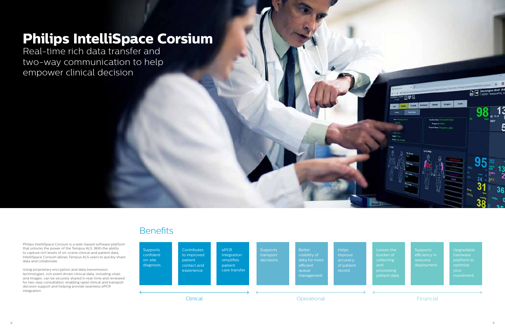Philips IntelliSpace Corsium is a web-based software platform that unlocks the power of the Tempus ALS. With the ability to capture rich levels of on-scene clinical and patient data, IntelliSpace Corsium allows Tempus ALS users to quickly share data and collaborate.

Using proprietary encryption and data transmission technologies, rich event driven clinical data, including vitals and images, can be securely shared in real-time and reviewed for two-way consultation, enabling rapid clinical and transport decision support and helping provide seamless ePCR integration.

**Supports** resource deployment.



Lessen the burden of collecting processing patient data. Upgradable hardware platform to optimize your

### **Philips IntelliSpace Corsium**

Real-time rich data transfer and two-way communication to help empower clinical decision

### **Benefits**

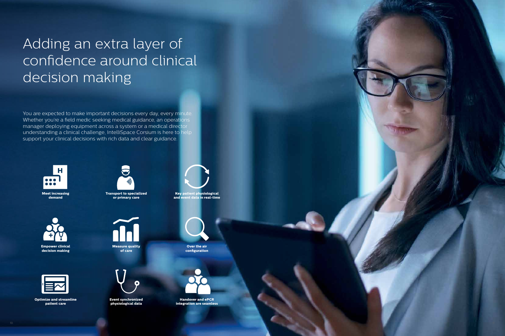

**Meet increasing demand**



**Transport to specialized or primary care**



**Key patient physiological and event data in real-time**





**Empower clinical decision making**



**Measure quality of care**

**Over the air configuration**



**Optimize and streamline patient care**



**Event synchronized physiological data**



**Handover and ePCR integration are seamless**

## Adding an extra layer of confidence around clinical decision making

You are expected to make important decisions every day, every minute. Whether you're a field medic seeking medical guidance, an operations manager deploying equipment across a system or a medical director understanding a clinical challenge, IntelliSpace Corsium is here to help support your clinical decisions with rich data and clear guidance.

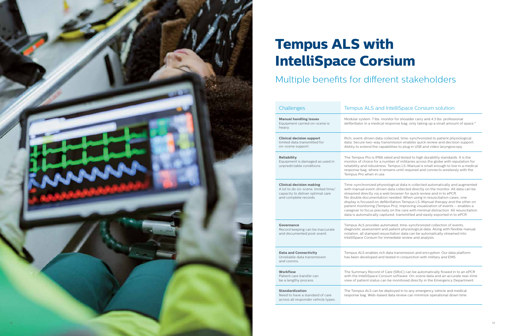# **Tempus ALS with IntelliSpace Corsium**

### Multiple benefits for different stakeholders

s. monitor for shoulder carry and 4.3 lb s. professional defibrillator in a medical response bag, only taking up a small amount of space. 4

> collected, time-synchronized to patient physiological ransmission enables quick review and decision support. babilities to plug in USB and video laryngoscopy.

rated and tested to high durability standards. It is the number of militaries across the globe with reputation for ss. Tempus LS-Manual is small enough to live in a medical remains until required and connects wirelessly with the

siological data is collected automatically and augmented en data collected directly on the monitor. All data can be web browser for quick review and in to ePCR. ion needed. When using in resuscitation cases, one fibrillation Tempus LS-Manual therapy and the other on pus Pro), improving visualization of events – enables a sely on the care with minimal distraction. All resuscitation ptured, transmitted and easily exported in to ePCR.

toma ted, time-synchronized collection of events, Ind patient physiological data. Along with flexible manual notation, all stamped resuscitation data ca n be automatically str eamed into immediate review and analysis.

> h data transmission and encryption. Our data platform d tested in conjunction with military and EMS.

f Care (SRoC) can be automatically flowed in to an ePCR rsium software. On-scene data and an accurate real-time an be monitored directly in the Emergency Department.

deployed in to any emergency vehicle and medical ed data review can minimize operational down time.

| Challenges                                                                                                                          | Tempus ALS and                                                                                                                                                                                                               |
|-------------------------------------------------------------------------------------------------------------------------------------|------------------------------------------------------------------------------------------------------------------------------------------------------------------------------------------------------------------------------|
| <b>Manual handling issues</b><br>Equipment carried on-scene is<br>heavy.                                                            | Modular system: 7 lbs. mo<br>defibrillator in a medical                                                                                                                                                                      |
| <b>Clinical decision support</b><br>limited data transmitted for<br>on-scene support.                                               | Rich, event-driven data o<br>data. Secure two-way tra<br>Ability to extend the cap                                                                                                                                           |
| <b>Reliability</b><br>Equipment is damaged as used in<br>unpredictable conditions.                                                  | The Tempus Pro is IP66 r<br>monitor of choice for a nu<br>reliability and robustness<br>response bag, where it re<br>Tempus Pro when in use.                                                                                 |
| <b>Clinical decision making</b><br>A lot to do on-scene, limited time/<br>capacity to deliver optimal care<br>and complete records. | Time-synchronized phys<br>with manual event-drive<br>streamed directly via a w<br>No double documentatio<br>display is focused on def<br>patient monitoring (Temp<br>caregiver to focus precise<br>data is automatically cap |
| <b>Governance</b><br>Record keeping can be inaccurate<br>and documented post-event.                                                 | Tempus ALS provides aut<br>diagnostic assessment ar<br>notation, all stamped resi<br>IntelliSpace Corsium for i                                                                                                              |
| <b>Data and Connectivity</b><br>Unreliable data transmission<br>and comms.                                                          | Tempus ALS enables rich<br>has been developed and                                                                                                                                                                            |
| <b>Workflow</b><br>Patient care transfer can<br>be a lengthy process.                                                               | The Summary Record of<br>with the IntelliSpace Cors<br>view of patient status car                                                                                                                                            |
| <b>Standardization</b><br>Need to have a standard of care<br>across all responder vehicle types.                                    | The Tempus ALS can be o<br>response bag. Web-base                                                                                                                                                                            |
|                                                                                                                                     |                                                                                                                                                                                                                              |

#### I IntelliSpace Corsium solution

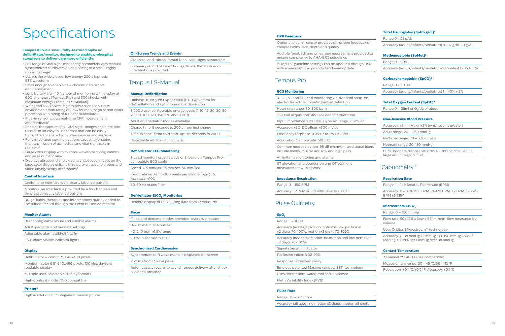- Full range of vital signs monitoring parameters with manual, synchronized cardioversion and pacing in a small, highly robust package<sup>7</sup>
- Utilizes the widely used, low energy 200 J biphasic BTE waveform
- Small enough to enable new choices in transport and deployment
- Long battery life 10  $\frac{3}{4}$  hour of monitoring with display at 60% brightness (Tempus Pro) and 300 shocks with maximum energy (Tempus LS-Manual)
- Water and solid object ingress protection for austere environments with rating of IP66 for monitor (dust and water protection with rating of IP65 for defibrillator)
- Plug-in sensor allows real-time CPR measurement and feedback<sup>3</sup>
- Enables the capture of all vital signs, images and electronic records in an easy to use format that can be easily transmitted or shared with other devices and systems
- Fully integrated communications capability enables the transmission of all medical and vital signs data in real time<sup>5</sup>
- Large color display with multiple waveform configurations and large numeric view
- Displays ultrasound and video laryngoscopy images on the large color display utilizing third party ultrasound probes and video laryngoscopy accessories<sup>8</sup>

# **Specifications**

#### **Tempus ALS is a small, fully-featured biphasic defibrillator/monitor, designed to enable prehospital caregivers to deliver care more efficiently:**

#### **Control Interface**

Defibrillator interface is via clearly labelled buttons

Monitor user interface is provided by a touch screen and simple graphically labelled buttons

Drugs, fluids, therapies and interventions quickly added to the patient record through the Event button on monitor

#### **Monitor Alarms**

| User configurable visual and audible alarms |
|---------------------------------------------|
| Adult, pediatric and neonate settings       |
| Adjustable alarms ≤85 dBA at 1m             |
| 360° alarm visible indicator lights         |

#### **Display**

- Defibrillator color 5.7", 640x480 pixels Monitor - color 6.5" 640x480 pixels, 130 klux daylight
- readable display
- Multiple user-selectable display formats
- High-contrast mode, NVG compatible

#### **Printer8**

High resolution 4.3" integrated thermal printer

ST elevation and depression and QT segment measurement with alarms<sup>8</sup>

#### **On-Screen Trends and Events**

Graphical and tabular format for all vital signs parameters

Summary record of care of drugs, fluids, therapies and interventions provided

#### Tempus LS-Manual<sup>1</sup>

#### **Manual Defibrillation**

Biphasic Truncated Exponential (BTE) waveform for defibrillation and synchronized cardioversion

1-200 J user configurable energy levels (1-10, 15, 20, 30, 50, 70, 90, 100, 120, 150, 170 and 200 J)

Adult and pediatric modes available

Charge time: 9 seconds to 200 J from first charge

Time to shock from cold start-up: <15 seconds to 200 J

Disposable adult and child pads

#### **Defibrillator ECG Monitoring**

1-Lead monitoring using pads or 3-Lead via Tempus Procompatible ECG cable

Speed: 12.5 mm/sec, 25 mm/sec, 50 mm/sec

Flow rate: 50 (42.5 ≤ flow ≤ 65) ml/min, flow measured by volume

Heart rate range: 15-300 beats per minute (bpm) ±5,

Accuracy: ±10%

50/60 Hz mains filter

#### **Defibrillator EtCO<sup>2</sup> Monitoring**

Remote display of  $\mathsf{EtCO}_{2}$  using data from Tempus Pro

#### **Pacer**

| Fixed and demand modes provided, overdrive feature |
|----------------------------------------------------|
| 0-200 mA $\pm$ 5 mA pulses                         |
| 40-240 bpm $\pm 1.5\%$ range                       |
| 20 ms pulse width $\pm 5\%$                        |

#### **Synchronized Cardioversion**

Synchronizes to R wave markers displayed on-screen

<60 ms from R wave peak

Automatically reverts to asynchronous delivery after shock has been provided

#### **CPR Feedback**

Optional plug-in-sensor provides on-screen feedback of compressions, rate, depth and quality

Audible feedback and on-screen messaging is provided to ensure compliance to AHA/ERC guidelines

AHA/ERC guideline settings can be updated through USB with a manufacturer provided software update

#### Tempus Pro

#### **ECG Monitoring**

3-, 4-, 5- and 12-Lead monitoring via standard snap-on electrodes with automatic leadset detection

Heart rate range: 30-300 bpm

12-Lead acquisition<sup>8</sup> and 12-Lead interpretation

Input impedance: >100 MΩ, Dynamic range: ±5 mV ac

Accuracy: ±3%, DC offset: ±300 mV dc

Frequency response: 0.05 Hz to 175 Hz ±3dB

#### Acquisition Sample rate: 500 Hz

Common mode rejection: 95 dB minimum, additional filters include mains, muscle and low and high pass

Arrhythmia monitoring and alarms

#### **Impedance Respiration**

Range: 3 - 150 RPM

Accuracy: ±2 RPM or ±2% whichever is greater

#### Pulse Oximetry

#### SpO<sub>2</sub>

Range: 1 – 100%

Accuracy (adults/child): no motion or low perfusion ±2 digits 70-100%, motion ±3 digits 70-100%

Accuracy (neonate): motion, no motion and low perfusion ±3 digits 70-100%

Signal strength indicator

Perfusion index: 0.02-20%

Response: <1 second delay

Employs patented Masimo rainbow SET technology

Uses comfortable, waterproof soft-tip sensor

Pleth Variability Index (PVI)8

#### **Pulse Rate**

Range: 25 – 239 bpm

Accuracy (all ages): no motion ≤3 digits, motion ≤5 digits

#### **Total Hemoglobin (SpHb g/dl) 8**

Range 0 - 25 g/dl

Accuracy (adults/infants/pediatrics)  $8 - 17$  g/dL  $\pm 1$  g/dl

#### **Methemoglobin (SpMet) 8**

Range 0 - 99%

Accuracy (adults/infants/pediatrics/neonates) 1 - 15% ± 1%

#### **Carboxyhemoglobin (SpCO) 8**

Range 0 - 99.9%

Accuracy (adults/infants/pediatrics) 1 - 40% ± 3%

#### **Total Oxygen Content (SpOC)8**

Range  $0 - 35$ ml of O<sub>2</sub>/dL of blood

#### **Non-Invasive Blood Pressure**

Accuracy: ±3 mmHg or ±2% (whichever is greater)

Adult range: 20 – 260 mmHg

Pediatric range: 20 – 230 mmHg

Neonate range: 20-130 mmHg

Cuffs: neonate disposable sizes 1-5, infant, child, adult,

large adult, thigh, cuff kit

#### Capnometry<sup>8</sup>

#### **Respiration Rate**

Range: 1 - 149 Breaths Per Minute (BPM)

Accuracy: 0-70 BPM ±1 BPM, 71-120 BPM ±2 BPM, 121-149 BPM ±3 BPM

#### **Microstream EtCO<sup>2</sup>**

Range: 0 – 150 mmHg

Uses Oridion Microstream™ technology

Accuracy: 0-38 mmHg ±2 mmHg, 39-150 mmHg ±5% of reading +0.08% per 1 mmHg over 38 mmHg

#### **Contact Temperature**

2 channel YSI 400 series compatible<sup>9</sup>

Measurement range: 20 - 45 °C/68 - 113 °F

Resolution: ±0.1 °C/±0.2 °F, Accuracy: ±0.1 °C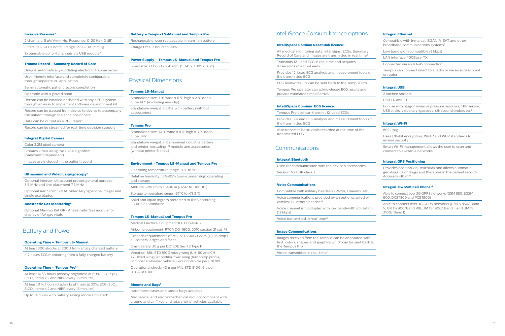#### **Invasive Pressure**<sup>8</sup>

| 2 channels, 5 µV/V/mmHg, Response: 0-20 Hz (-3 dB)      |
|---------------------------------------------------------|
| Filters: 50-60 Hz notch, Range: $-99 - 310$ mmHg        |
| Expandable up to 4 channels via USB module <sup>4</sup> |

#### **Trauma Record - Summary Record of Care**

Unique, automatically-updating electronic trauma record

User-friendly interface and completely configurable through separate PC application

Semi-automatic patient record completion

Operable with a gloved hand

Record can be emailed or shared with any ePCR system through an easy to implement software development kit

Record can be passed from device to device to accompany the patient through the echelons of care

Data can be output as a PDF report

Record can be streamed for real-time decision support

#### **Integral Digital Camera**

Color 3.2M pixel camera

Streams video using the H264 algorithm (bandwidth dependent)

Images are included in the patient record

#### **Ultrasound and Video Laryngoscopy8**

Optional Interson ultrasound probes general purpose 3.5 MHz and line placement 7.5 MHz

Optional Karl Storz C-MAC video laryngoscope imager and single use blades

#### **Anesthetic Gas Monitoring<sup>8</sup>**

Optional Masimo ISA OR+ Anaesthetic Gas module for display of AA gas vitals

#### Battery and Power

#### **Operating Time – Tempus LS-Manual**

| At least 300 shocks at 200 J from a fully charged battery |  |
|-----------------------------------------------------------|--|
| >12 hours ECG monitoring from a fully charged battery     |  |

#### **Operating Time - Tempus Pro<sup>14</sup>**

At least 10  $\frac{3}{4}$  hours (display brightness at 60%, ECG, SpO<sub>2</sub>,  $E$ t $CO_{2}$ , temp x 2 and NIBP every 15 minutes)

At least 11  $\frac{1}{2}$  hours (display brightness at 30%, ECG, SpO $_2$ ,  $E$ t $CO<sub>2</sub>$ , temp x 2 and NIBP every 15 minutes)

Up to 14 hours with battery saving mode activated<sup>10</sup>

#### **Battery – Tempus LS-Manual and Tempus Pro**

All medical monitoring data, vital signs, ECGs, Summary Record of Care and images are transmitted in real time<sup>3</sup>

Rechargeable, user replaceable lithium-ion battery Charge time: 3 hours to 90%11,12

#### **Power Supply – Tempus LS-Manual and Tempus Pro**

Small size: 133 x 60.7 x 41 mm (5.24" x 2.39" x 1.62")

#### Physical Dimensions

#### **Tempus LS-Manual**

Standalone size: 7.9" wide x 6.5" high x 2.8" deep, cube 142" (excluding rear clip)

Standalone weight: 4.3 lbs. with battery (without accessories)

#### **Tempus Pro**

Voice communications provided by an optional wired or wireless Bluetooth headset<sup>5</sup>

Standalone size: 10.3" wide x 8.5" high x 3.9" deep, cube 346" Standalone weight: 7 lbs. nominal including battery and printer, excluding IP module and accessories (without printer 6.4 lbs.)

> Images received from the Tempus can be annotated with text, colors, shapes and graphics which can be sent back to the Tempus Pro<sup>13</sup>

Video transmitted in real-time<sup>13</sup>

Compatible with Inmarsat, BGAN, V-SAT and other broadband communications systems<sup>5</sup>

#### **Environment - Tempus LS-Manual and Tempus Pro**

Operating temperature range: 0 °C to 50 °C

Relative humidity: 15%-95% (non-condensing) operating and storage

For use with plug-in invasive pressure modules, CPR sensor, USB sticks, video laryngoscope, ultrasound probes etc<sup>8</sup>

Altitude: -200 m to +5486 m (-656' to +18000')

Storage temperature range: -37 °C to +73.3 °C

Solid and liquid ingress protected to IP66 according IEC60529 Standards

#### **Tempus LS-Manual and Tempus Pro**

Medical Electrical Equipment: IEC 60601-1-12

Airborne equipment: RTCA DO-160G, 2010 section 21 cat. M Exceeds requirements of MIL-STD 810G 1.22 m (4') 26 drops

all corners, edges and faces Crash Safety: 20 g per DO160E Sec 7.2 Type F

Vibration: MIL-STD 810G rotary wing (UH-60 and CH-

47), fixed wing (jet profile), fixed wing (turboprop profile), composite wheeled vehicle; Ground Vehicle per EN1789

Operational shock: 40 g per MIL-STD 810G, 6 g per RTCA DO-160E

#### **Mounts and Bags<sup>8</sup>**

Hard transit cases and saddle bags available

Mechanical and electromechanical mounts compliant with ground and air (fixed and rotary wing) vehicles available

#### IntelliSpace Corsium licence options

#### **IntelliSpace Corsium ReachBak licence:**

Transmits 12-Lead ECG in real time and acquires 10 seconds of all 12-Leads

Provides 12-Lead ECG analysis and measurement tools on the transmitted ECG

ECG review results can be sent back to the Tempus Pro

Tempus Pro operator can acknowledge ECG results and provide estimated time of arrival

#### **IntelliSpace Corsium ECG licence:**

Tempus Pro user can transmit 12-Lead ECGs

Provides 12-Lead ECG analysis and measurement tools on the transmitted ECG

Also transmits basic vitals recorded at the time of the transmitted ECG

#### Communications

#### **Integral Bluetooth**

Used for communication with the device's accessories Version: V2 EDR class 2

#### **Voice Communications**

Compatible with military headsets (Peltor, Liberator etc.)

Voice channel is full duplex with low bandwidth utilization (12 kbps)

Voice transmitted in real-time<sup>13</sup>

#### **Image Communications**

#### **Integral Ethernet**

Low bandwidth compatible (3 kbps)

LAN interface: 100Base-TX

Connected via an RJ-45 connection

Tempus can connect direct to a radio or via an access point or router

#### **Integral USB**

2 latched sockets

USB 1.0 and 2.0

#### **Integral Wi-Fi**

802.11b/g

Uses 128-bit encryption, WPA2 and WEP standards to ensure security

Smart Wi-Fi management allows the user to scan and connect to available networks

#### **Integral GPS Positioning**

Provides position via ReachBak and allows automatic geo-tagging of drugs and therapies in the patient record/ Accuracy ±10 m.15

#### **Integral 3G/GSM Cell Phone 16**

Able to connect over 2G GPRS networks (GSM 850, EGSM 900, DCS 1800 and PCS 1900)

Able to connect over 3G GPRS networks (UMTS 850/ Band V, UMTS 900/Band VIII, UMTS 1900/ Band II and UMTS 2100/ Band I)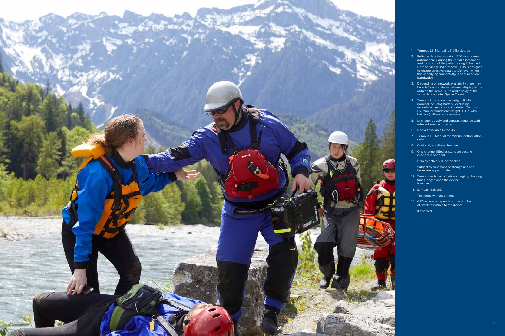- 1. Tempus LS-Manual is 510(k) cleared
- 2. Reliable data transmission (EDS) is streamed au t omatically during t h e i nitial assessment and transport of the patient using Enhanced Data Service (EDS) protocol3. EDS is designed to ensure effective data transfer even when the underlying connectivity is poor or of low bandwidth
- 3. Depending on network availability there may be a 2-3 second delay between display of the data on the Tempus Pro and display of the same data on IntelliSpace Corsium
- 4. Tempus Pro standalone weight: 6.4 lb. module, accessories and printer. Tempus LS-Manual standalone weight: 4.3 lb. with bat tery (wi t hou t accessories)
- 5. Limitations apply and contract required with relevant service provider
- 6. Not yet available in the US
- 7. Tempus LS-Manual for manual defibrillation only
- 8. Optional, additional f eature
- 9. One channel fitted as standard second channel is optional.
- 10. Display active 50% of the time.
- 11. Subject to conditions of storage and use, ti mes ar e approximate
- 12. Tempus switched off while charging, charging takes longer when the device is active
- 1 3. i2i ReachBak only
- 1 4. Test done without printing.
- 1 5. GPS accuracy depends on the number of satellites visible to the device
- 1 6. If enabled